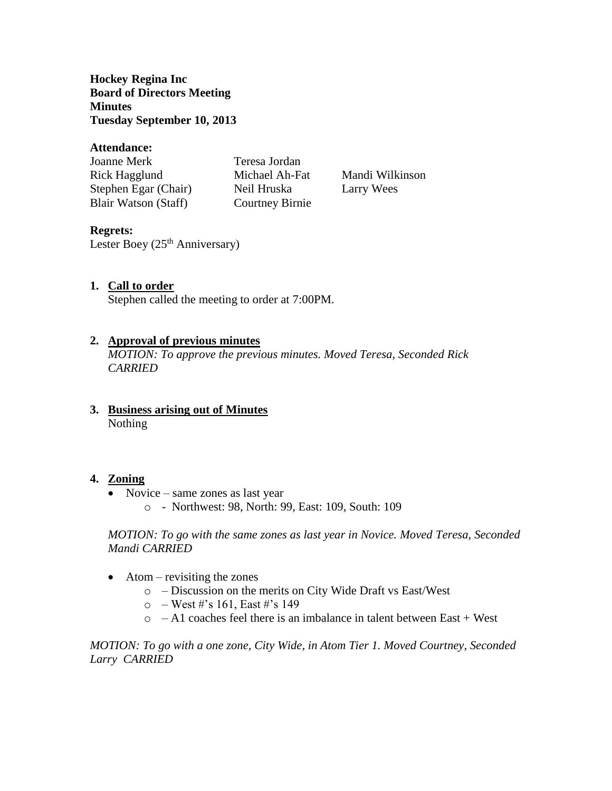**Hockey Regina Inc Board of Directors Meeting Minutes Tuesday September 10, 2013**

### **Attendance:**

| Joanne Merk          | Teresa Jordan   |
|----------------------|-----------------|
| Rick Hagglund        | Michael Ah-Fat  |
| Stephen Egar (Chair) | Neil Hruska     |
| Blair Watson (Staff) | Courtney Birnie |

Mandi Wilkinson Larry Wees

## **Regrets:**

Lester Boey  $(25<sup>th</sup>$  Anniversary)

## **1. Call to order**

Stephen called the meeting to order at 7:00PM.

### **2. Approval of previous minutes**

*MOTION: To approve the previous minutes. Moved Teresa, Seconded Rick CARRIED*

**3. Business arising out of Minutes** Nothing

### **4. Zoning**

- Novice same zones as last year
	- o Northwest: 98, North: 99, East: 109, South: 109

*MOTION: To go with the same zones as last year in Novice. Moved Teresa, Seconded Mandi CARRIED*

- $\bullet$  Atom revisiting the zones
	- o Discussion on the merits on City Wide Draft vs East/West
	- $\circ$  West #'s 161, East #'s 149
	- $\circ$  A1 coaches feel there is an imbalance in talent between East + West

*MOTION: To go with a one zone, City Wide, in Atom Tier 1. Moved Courtney, Seconded Larry CARRIED*